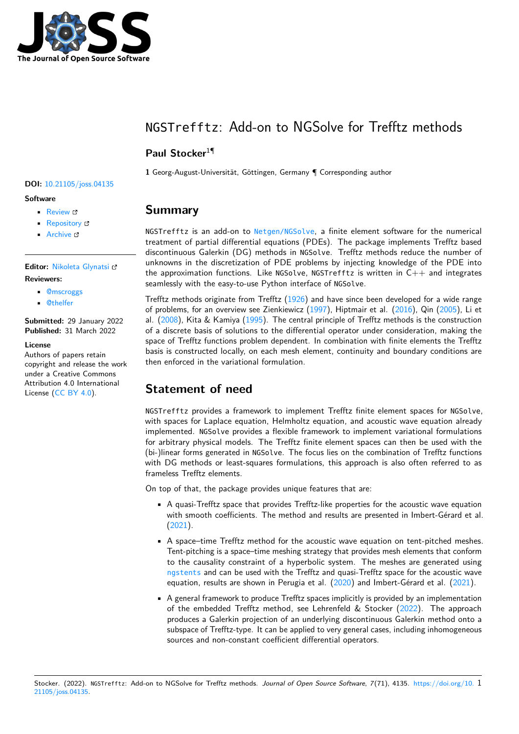

# NGSTrefftz: Add-on to NGSolve for Trefftz methods

### **Paul Stocker**<sup>1</sup>¶

**1** Georg-August-Universität, Göttingen, Germany ¶ Corresponding author

## **Summary**

NGSTrefftz is an add-on to [Netgen/NGSolve](https://ngsolve.org/), a finite element software for the numerical treatment of partial differential equations (PDEs). The package implements Trefftz based discontinuous Galerkin (DG) methods in NGSolve. Trefftz methods reduce the number of unknowns in the discretization of PDE problems by injecting knowledge of the PDE into the approximation functions. Like NGSolve, NGSTrefftz is written in  $C++$  and integrates seamlessly with the easy-to-use Python interface of NGSolve.

Trefftz methods originate from Trefftz [\(1926\)](#page-1-0) and have since been developed for a wide range of problems, for an overview see Zienkiewicz [\(1997\)](#page-1-1), Hiptmair et al. [\(2016\)](#page-1-2), Qin [\(2005\)](#page-1-3), Li et al. [\(2008\)](#page-1-4), Kita & Kamiya [\(1995\)](#page-1-5). The central principle of Trefftz methods is the construction of a discrete basis of solutions to the differential operator under consideration, making the space of Trefftz functions problem dependent. In combination with finite elements the Trefftz basis is constructed locally, on each mesh element, continuity and boundary conditions are then enforced in the variational formulation.

## **Statement of need**

NGSTrefftz provides a framework to implement Trefftz finite element spaces for NGSolve, with spaces for Laplace equation, Helmholtz equation, and acoustic wave equation already implemented. NGSolve provides a flexible framework to implement variational formulations for arbitrary physical models. The Trefftz finite element spaces can then be used with the (bi-)linear forms generated in NGSolve. The focus lies on the combination of Trefftz functions with DG methods or least-squares formulations, this approach is also often referred to as frameless Trefftz elements.

On top of that, the package provides unique features that are:

- A quasi-Trefftz space that provides Trefftz-like properties for the acoustic wave equation with smooth coefficients. The method and results are presented in Imbert-Gérard et al. [\(2021\)](#page-1-6).
- A space–time Trefftz method for the acoustic wave equation on tent-pitched meshes. Tent-pitching is a space–time meshing strategy that provides mesh elements that conform to the causality constraint of a hyperbolic system. The meshes are generated using [ngstents](https://github.com/jayggg/ngstents) and can be used with the Trefftz and quasi-Trefftz space for the acoustic wave equation, results are shown in Perugia et al. [\(2020\)](#page-1-7) and Imbert-Gérard et al. [\(2021\)](#page-1-6).
- A general framework to produce Trefftz spaces implicitly is provided by an implementation of the embedded Trefftz method, see Lehrenfeld & Stocker [\(2022\)](#page-1-8). The approach produces a Galerkin projection of an underlying discontinuous Galerkin method onto a subspace of Trefftz-type. It can be applied to very general cases, including inhomogeneous sources and non-constant coefficient differential operators.

#### Stocker. (2022). NGSTrefftz: Add-on to NGSolve for Trefftz methods. Journal of Open Source Software, 7(71), 4135. [https://doi.org/10.](https://doi.org/10.21105/joss.04135) 1 [21105/joss.04135.](https://doi.org/10.21105/joss.04135)

#### **DOI:** [10.21105/joss.04135](https://doi.org/10.21105/joss.04135)

#### **Software**

- [Review](https://github.com/openjournals/joss-reviews/issues/4135) ぴ
- [Repository](https://github.com/PaulSt/NGSTrefftz) C
- [Archive](https://doi.org/10.5281/zenodo.6394628) &

#### **Editor:** [Nikoleta Glynatsi](https://nikoleta-v3.github.io) **Reviewers:**

- [@mscroggs](https://github.com/mscroggs)
- [@thelfer](https://github.com/thelfer)

**Submitted:** 29 January 2022 **Published:** 31 March 2022

#### **License**

Authors of papers retain copyright and release the work under a Creative Commons Attribution 4.0 International License [\(CC BY 4.0\)](https://creativecommons.org/licenses/by/4.0/).